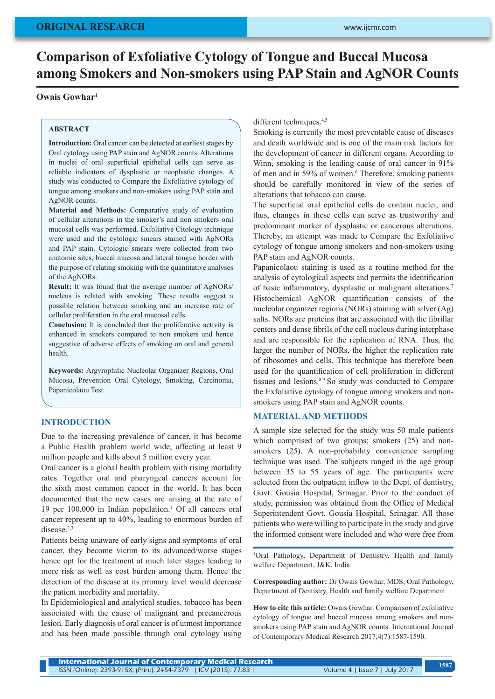# **Comparison of Exfoliative Cytology of Tongue and Buccal Mucosa among Smokers and Non-smokers using PAP Stain and AgNOR Counts**

## **Owais Gowhar1**

#### **ABSTRACT**

**Introduction:** Oral cancer can be detected at earliest stages by Oral cytology using PAP stain and AgNOR counts. Alterations in nuclei of oral superficial epithelial cells can serve as reliable indicators of dysplastic or neoplastic changes. A study was conducted to Compare the Exfoliative cytology of tongue among smokers and non-smokers using PAP stain and AgNOR counts.

**Material and Methods:** Comparative study of evaluation of cellular alterations in the smoker's and non smokers oral mucosal cells was performed. Exfoliative Citology technique were used and the cytologic smears stained with AgNORs and PAP stain. Cytologic smears were collected from two anatomic sites, buccal mucosa and lateral tongue border with the purpose of relating smoking with the quantitative analyses of the AgNORs.

**Result:** It was found that the average number of AgNORs/ nucleus is related with smoking. These results suggest a possible relation between smoking and an increase rate of cellular proliferation in the oral mucosal cells.

**Conclusion:** It is concluded that the proliferative activity is enhanced in smokers compared to non smokers and hence suggestive of adverse effects of smoking on oral and general health.

**Keywords:** Argyrophilic Nucleolar Organizer Regions, Oral Mucosa, Prevention Oral Cytology, Smoking, Carcinoma, Papanicolaou Test.

#### **INTRODUCTION**

Due to the increasing prevalence of cancer, it has become a Public Health problem world wide, affecting at least 9 million people and kills about 5 million every year.

Oral cancer is a global health problem with rising mortality rates. Together oral and pharyngeal cancers account for the sixth most common cancer in the world. It has been documented that the new cases are arising at the rate of 19 per  $100,000$  in Indian population.<sup>1</sup> Of all cancers oral cancer represent up to 40%, leading to enormous burden of disease.<sup>2,3</sup>

Patients being unaware of early signs and symptoms of oral cancer, they become victim to its advanced/worse stages hence opt for the treatment at much later stages leading to more risk as well as cost burden among them. Hence the detection of the disease at its primary level would decrease the patient morbidity and mortality.

In Epidemiological and analytical studies, tobacco has been associated with the cause of malignant and precancerous lesion. Early diagnosis of oral cancer is of utmost importance and has been made possible through oral cytology using different techniques.<sup>4,5</sup>

Smoking is currently the most preventable cause of diseases and death worldwide and is one of the main risk factors for the development of cancer in different organs. According to Winn, smoking is the leading cause of oral cancer in 91% of men and in 59% of women.<sup>6</sup> Therefore, smoking patients should be carefully monitored in view of the series of alterations that tobacco can cause.

The superficial oral epithelial cells do contain nuclei, and thus, changes in these cells can serve as trustworthy and predominant marker of dysplastic or cancerous alterations. Thereby, an attempt was made to Compare the Exfoliative cytology of tongue among smokers and non-smokers using PAP stain and AgNOR counts.

Papanicolaou staining is used as a routine method for the analysis of cytological aspects and permits the identification of basic inflammatory, dysplastic or malignant alterations.<sup>7</sup> Histochemical AgNOR quantification consists of the nucleolar organizer regions (NORs) staining with silver (Ag) salts. NORs are proteins that are associated with the fibrillar centers and dense fibrils of the cell nucleus during interphase and are responsible for the replication of RNA. Thus, the larger the number of NORs, the higher the replication rate of ribosomes and cells. This technique has therefore been used for the quantification of cell proliferation in different tissues and lesions.8,9 So study was conducted to Compare the Exfoliative cytology of tongue among smokers and nonsmokers using PAP stain and AgNOR counts.

#### **MATERIAL AND METHODS**

A sample size selected for the study was 50 male patients which comprised of two groups; smokers (25) and nonsmokers (25). A non-probability convenience sampling technique was used. The subjects ranged in the age group between 35 to 55 years of age. The participants were selected from the outpatient inflow to the Dept. of dentistry, Govt. Gousia Hospital, Srinagar. Prior to the conduct of study, permission was obtained from the Office of Medical Superintendent Govt. Gousia Hospital, Srinagar. All those patients who were willing to participate in the study and gave the informed consent were included and who were free from

1 Oral Pathology, Department of Dentistry, Health and family welfare Department, J&K, India

**Corresponding author:** Dr Owais Gowhar, MDS, Oral Pathology, Department of Dentistry, Health and family welfare Department

**How to cite this article:** Owais Gowhar. Comparison of exfoliative cytology of tongue and buccal mucosa among smokers and nonsmokers using PAP stain and AgNOR counts. International Journal of Contemporary Medical Research 2017;4(7):1587-1590.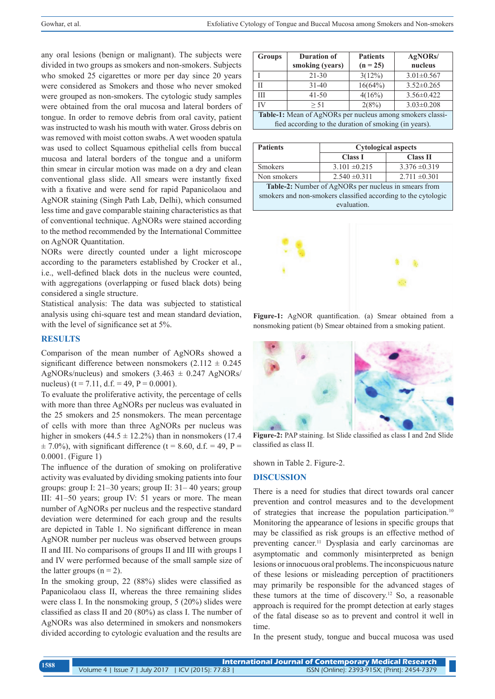any oral lesions (benign or malignant). The subjects were divided in two groups as smokers and non-smokers. Subjects who smoked 25 cigarettes or more per day since 20 years were considered as Smokers and those who never smoked were grouped as non-smokers. The cytologic study samples were obtained from the oral mucosa and lateral borders of tongue. In order to remove debris from oral cavity, patient was instructed to wash his mouth with water. Gross debris on was removed with moist cotton swabs. A wet wooden spatula was used to collect Squamous epithelial cells from buccal mucosa and lateral borders of the tongue and a uniform thin smear in circular motion was made on a dry and clean conventional glass slide. All smears were instantly fixed with a fixative and were send for rapid Papanicolaou and AgNOR staining (Singh Path Lab, Delhi), which consumed less time and gave comparable staining characteristics as that of conventional technique. AgNORs were stained according to the method recommended by the International Committee on AgNOR Quantitation.

NORs were directly counted under a light microscope according to the parameters established by Crocker et al., i.e., well-defined black dots in the nucleus were counted, with aggregations (overlapping or fused black dots) being considered a single structure.

Statistical analysis: The data was subjected to statistical analysis using chi-square test and mean standard deviation, with the level of significance set at 5%.

#### **RESULTS**

Comparison of the mean number of AgNORs showed a significant difference between nonsmokers  $(2.112 \pm 0.245)$ AgNORs/nucleus) and smokers  $(3.463 \pm 0.247 \text{ AgNORS}/$ nucleus) (t = 7.11, d.f. = 49, P =  $0.0001$ ).

To evaluate the proliferative activity, the percentage of cells with more than three AgNORs per nucleus was evaluated in the 25 smokers and 25 nonsmokers. The mean percentage of cells with more than three AgNORs per nucleus was higher in smokers (44.5  $\pm$  12.2%) than in nonsmokers (17.4)  $\pm$  7.0%), with significant difference (t = 8.60, d.f. = 49, P = 0.0001. (Figure 1)

The influence of the duration of smoking on proliferative activity was evaluated by dividing smoking patients into four groups: group I: 21–30 years; group II: 31– 40 years; group III: 41–50 years; group IV: 51 years or more. The mean number of AgNORs per nucleus and the respective standard deviation were determined for each group and the results are depicted in Table 1. No significant difference in mean AgNOR number per nucleus was observed between groups II and III. No comparisons of groups II and III with groups I and IV were performed because of the small sample size of the latter groups  $(n = 2)$ .

In the smoking group, 22 (88%) slides were classified as Papanicolaou class II, whereas the three remaining slides were class I. In the nonsmoking group, 5 (20%) slides were classified as class II and 20 (80%) as class I. The number of AgNORs was also determined in smokers and nonsmokers divided according to cytologic evaluation and the results are

| <b>Groups</b>                                             | <b>Duration of</b><br>smoking (years) | <b>Patients</b><br>$(n = 25)$ | AgNORs/<br>nucleus |  |
|-----------------------------------------------------------|---------------------------------------|-------------------------------|--------------------|--|
|                                                           | $21 - 30$                             | $3(12\%)$                     | $3.01 \pm 0.567$   |  |
| Н                                                         | $31 - 40$                             | 16(64%)                       | $3.52 \pm 0.265$   |  |
| Ш                                                         | $41 - 50$                             | 4(16%)                        | $3.56 \pm 0.422$   |  |
| IV                                                        | > 51                                  | 2(8%)                         | $3.03 \pm 0.208$   |  |
| Table-1: Mean of AgNORs per nucleus among smokers classi- |                                       |                               |                    |  |
| fied according to the duration of smoking (in years).     |                                       |                               |                    |  |

| <b>Patients</b>                                               |                   | <b>Cytological aspects</b> |  |  |
|---------------------------------------------------------------|-------------------|----------------------------|--|--|
|                                                               | <b>Class I</b>    | <b>Class II</b>            |  |  |
| <b>Smokers</b>                                                | $3.101 \pm 0.215$ | $3.376 \pm 0.319$          |  |  |
| Non smokers                                                   | $2.540 \pm 0.311$ | $2.711 \pm 0.301$          |  |  |
| Table-2: Number of AgNORs per nucleus in smears from          |                   |                            |  |  |
| smokers and non-smokers classified according to the cytologic |                   |                            |  |  |
| evaluation.                                                   |                   |                            |  |  |



**Figure-1:** AgNOR quantification. (a) Smear obtained from a nonsmoking patient (b) Smear obtained from a smoking patient.



**Figure-2:** PAP staining. Ist Slide classified as class I and 2nd Slide classified as class II.

shown in Table 2. Figure-2.

### **DISCUSSION**

There is a need for studies that direct towards oral cancer prevention and control measures and to the development of strategies that increase the population participation.10 Monitoring the appearance of lesions in specific groups that may be classified as risk groups is an effective method of preventing cancer.11 Dysplasia and early carcinomas are asymptomatic and commonly misinterpreted as benign lesions or innocuous oral problems. The inconspicuous nature of these lesions or misleading perception of practitioners may primarily be responsible for the advanced stages of these tumors at the time of discovery.<sup>12</sup> So, a reasonable approach is required for the prompt detection at early stages of the fatal disease so as to prevent and control it well in time.

In the present study, tongue and buccal mucosa was used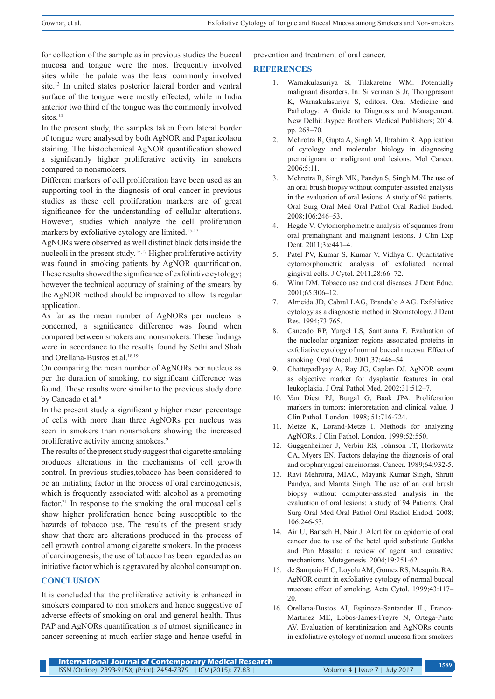for collection of the sample as in previous studies the buccal mucosa and tongue were the most frequently involved sites while the palate was the least commonly involved site.13 In united states posterior lateral border and ventral surface of the tongue were mostly effected, while in India anterior two third of the tongue was the commonly involved sites.<sup>14</sup>

In the present study, the samples taken from lateral border of tongue were analysed by both AgNOR and Papanicolaou staining. The histochemical AgNOR quantification showed a significantly higher proliferative activity in smokers compared to nonsmokers.

Different markers of cell proliferation have been used as an supporting tool in the diagnosis of oral cancer in previous studies as these cell proliferation markers are of great significance for the understanding of cellular alterations. However, studies which analyze the cell proliferation markers by exfoliative cytology are limited.<sup>15-17</sup>

AgNORs were observed as well distinct black dots inside the nucleoli in the present study.16,17 Higher proliferative activity was found in smoking patients by AgNOR quantification. These results showed the significance of exfoliative cytology; however the technical accuracy of staining of the smears by the AgNOR method should be improved to allow its regular application.

As far as the mean number of AgNORs per nucleus is concerned, a significance difference was found when compared between smokers and nonsmokers. These findings were in accordance to the results found by Sethi and Shah and Orellana-Bustos et al.<sup>18,19</sup>

On comparing the mean number of AgNORs per nucleus as per the duration of smoking, no significant difference was found. These results were similar to the previous study done by Cancado et al.<sup>8</sup>

In the present study a significantly higher mean percentage of cells with more than three AgNORs per nucleus was seen in smokers than nonsmokers showing the increased proliferative activity among smokers.<sup>9</sup>

The results of the present study suggest that cigarette smoking produces alterations in the mechanisms of cell growth control. In previous studies,tobacco has been considered to be an initiating factor in the process of oral carcinogenesis, which is frequently associated with alcohol as a promoting factor.<sup>21</sup> In response to the smoking the oral mucosal cells show higher proliferation hence being susceptible to the hazards of tobacco use. The results of the present study show that there are alterations produced in the process of cell growth control among cigarette smokers. In the process of carcinogenesis, the use of tobacco has been regarded as an initiative factor which is aggravated by alcohol consumption.

## **CONCLUSION**

It is concluded that the proliferative activity is enhanced in smokers compared to non smokers and hence suggestive of adverse effects of smoking on oral and general health. Thus PAP and AgNORs quantification is of utmost significance in cancer screening at much earlier stage and hence useful in

prevention and treatment of oral cancer.

## **REFERENCES**

- 1. Warnakulasuriya S, Tilakaretne WM. Potentially malignant disorders. In: Silverman S Jr, Thongprasom K, Warnakulasuriya S, editors. Oral Medicine and Pathology: A Guide to Diagnosis and Management. New Delhi: Jaypee Brothers Medical Publishers; 2014. pp. 268–70.
- 2. Mehrotra R, Gupta A, Singh M, Ibrahim R. Application of cytology and molecular biology in diagnosing premalignant or malignant oral lesions. Mol Cancer. 2006;5:11.
- 3. Mehrotra R, Singh MK, Pandya S, Singh M. The use of an oral brush biopsy without computer-assisted analysis in the evaluation of oral lesions: A study of 94 patients. Oral Surg Oral Med Oral Pathol Oral Radiol Endod. 2008;106:246–53.
- 4. Hegde V. Cytomorphometric analysis of squames from oral premalignant and malignant lesions. J Clin Exp Dent. 2011;3:e441–4.
- 5. Patel PV, Kumar S, Kumar V, Vidhya G. Quantitative cytomorphometric analysis of exfoliated normal gingival cells. J Cytol. 2011;28:66–72.
- 6. Winn DM. Tobacco use and oral diseases. J Dent Educ. 2001;65:306–12.
- 7. Almeida JD, Cabral LAG, Branda˜o AAG. Exfoliative cytology as a diagnostic method in Stomatology. J Dent Res. 1994;73:765.
- 8. Cancado RP, Yurgel LS, Sant'anna F. Evaluation of the nucleolar organizer regions associated proteins in exfoliative cytology of normal buccal mucosa. Effect of smoking. Oral Oncol. 2001;37:446–54.
- 9. Chattopadhyay A, Ray JG, Caplan DJ. AgNOR count as objective marker for dysplastic features in oral leukoplakia. J Oral Pathol Med. 2002;31:512–7.
- 10. Van Diest PJ, Burgal G, Baak JPA. Proliferation markers in tumors: interpretation and clinical value. J Clin Pathol. London. 1998; 51:716-724.
- 11. Metze K, Lorand-Metze I. Methods for analyzing AgNORs. J Clin Pathol. London. 1999;52:550.
- 12. Guggenheimer J, Verbin RS, Johnson JT, Horkowitz CA, Myers EN. Factors delaying the diagnosis of oral and oropharyngeal carcinomas. Cancer. 1989;64:932-5.
- 13. Ravi Mehrotra, MIAC, Mayank Kumar Singh, Shruti Pandya, and Mamta Singh. The use of an oral brush biopsy without computer-assisted analysis in the evaluation of oral lesions: a study of 94 Patients. Oral Surg Oral Med Oral Pathol Oral Radiol Endod. 2008; 106:246-53.
- 14. Air U, Bartsch H, Nair J. Alert for an epidemic of oral cancer due to use of the betel quid substitute Gutkha and Pan Masala: a review of agent and causative mechanisms. Mutagenesis. 2004;19:251-62.
- 15. de Sampaio H C, Loyola AM, Gomez RS, Mesquita RA. AgNOR count in exfoliative cytology of normal buccal mucosa: effect of smoking. Acta Cytol. 1999;43:117– 20.
- 16. Orellana-Bustos AI, Espinoza-Santander IL, Franco-Martınez ME, Lobos-James-Freyre N, Ortega-Pinto AV. Evaluation of keratinization and AgNORs counts in exfoliative cytology of normal mucosa from smokers